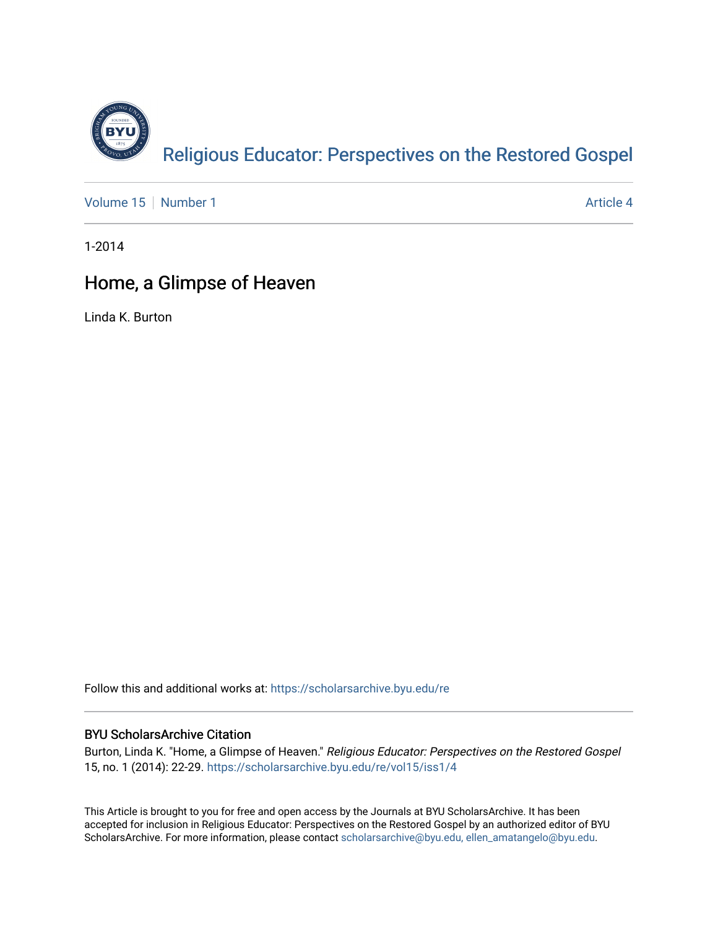

[Volume 15](https://scholarsarchive.byu.edu/re/vol15) [Number 1](https://scholarsarchive.byu.edu/re/vol15/iss1) Article 4

1-2014

## Home, a Glimpse of Heaven

Linda K. Burton

Follow this and additional works at: [https://scholarsarchive.byu.edu/re](https://scholarsarchive.byu.edu/re?utm_source=scholarsarchive.byu.edu%2Fre%2Fvol15%2Fiss1%2F4&utm_medium=PDF&utm_campaign=PDFCoverPages)

#### BYU ScholarsArchive Citation

Burton, Linda K. "Home, a Glimpse of Heaven." Religious Educator: Perspectives on the Restored Gospel 15, no. 1 (2014): 22-29. [https://scholarsarchive.byu.edu/re/vol15/iss1/4](https://scholarsarchive.byu.edu/re/vol15/iss1/4?utm_source=scholarsarchive.byu.edu%2Fre%2Fvol15%2Fiss1%2F4&utm_medium=PDF&utm_campaign=PDFCoverPages) 

This Article is brought to you for free and open access by the Journals at BYU ScholarsArchive. It has been accepted for inclusion in Religious Educator: Perspectives on the Restored Gospel by an authorized editor of BYU ScholarsArchive. For more information, please contact [scholarsarchive@byu.edu, ellen\\_amatangelo@byu.edu.](mailto:scholarsarchive@byu.edu,%20ellen_amatangelo@byu.edu)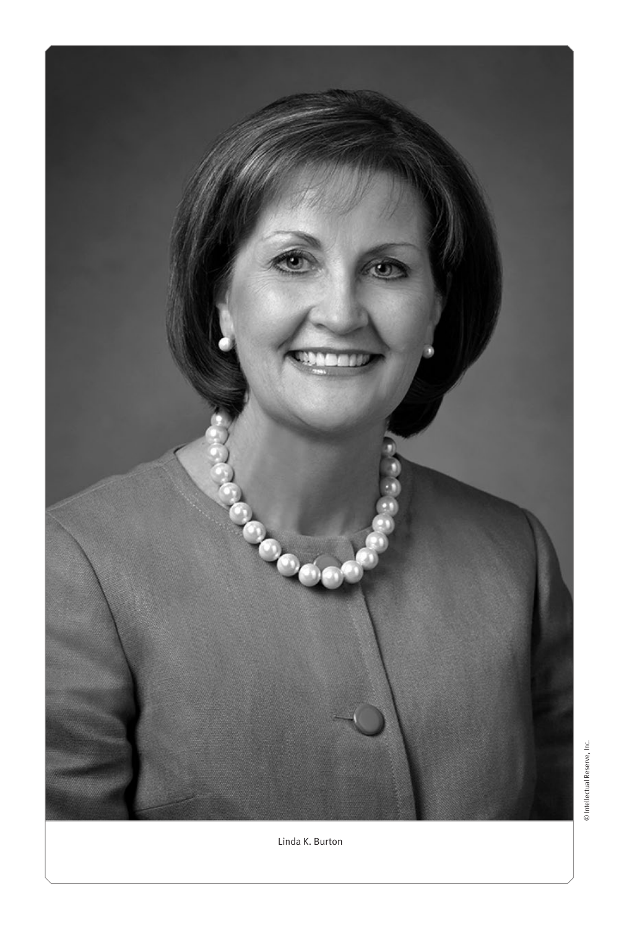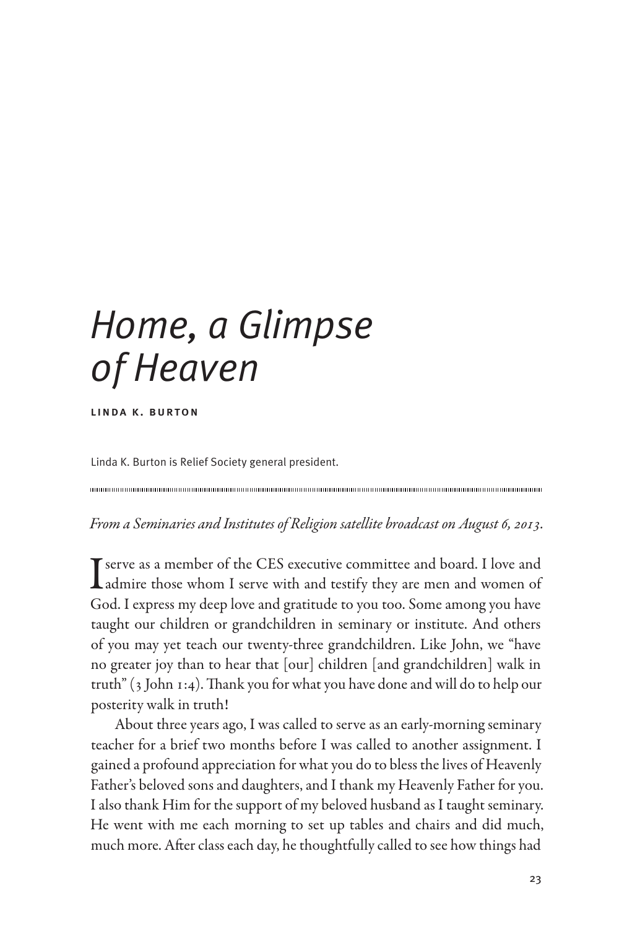# *Home, a Glimpse of Heaven*

linda k. burton

Linda K. Burton is Relief Society general president.

*From a Seminaries and Institutes of Religion satellite broadcast on August 6, 2013.*

I serve as a member of the CES executive committee and board. I love and admire those whom I serve with and testify they are men and women of God. I express my deep love and gratitude to you too. Some among you have taught our children or grandchildren in seminary or institute. And others of you may yet teach our twenty-three grandchildren. Like John, we "have no greater joy than to hear that [our] children [and grandchildren] walk in truth" (3 John 1:4). Thank you for what you have done and will do to help our posterity walk in truth!

About three years ago, I was called to serve as an early-morning seminary teacher for a brief two months before I was called to another assignment. I gained a profound appreciation for what you do to bless the lives of Heavenly Father's beloved sons and daughters, and I thank my Heavenly Father for you. I also thank Him for the support of my beloved husband as I taught seminary. He went with me each morning to set up tables and chairs and did much, much more. After class each day, he thoughtfully called to see how things had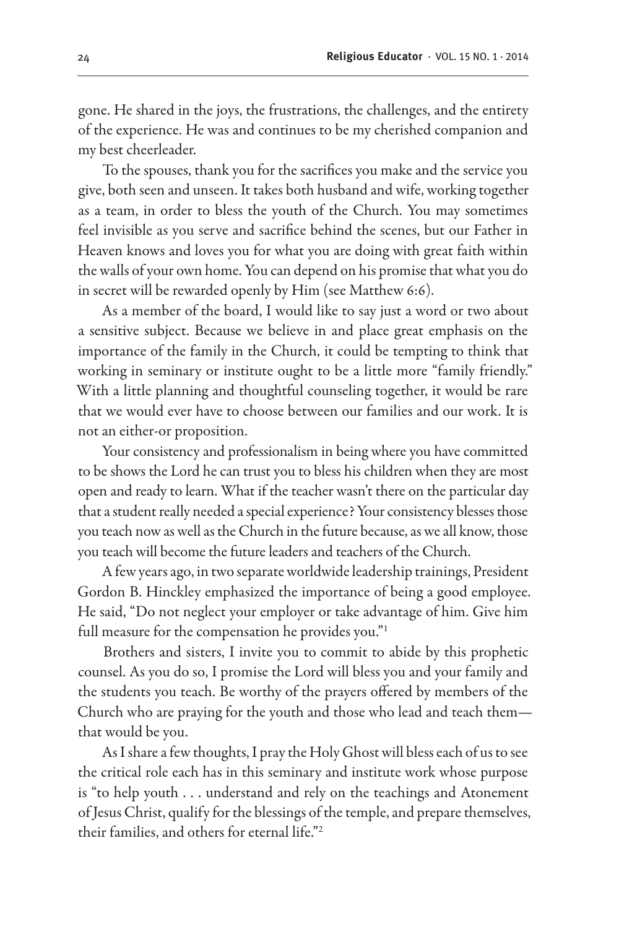gone. He shared in the joys, the frustrations, the challenges, and the entirety of the experience. He was and continues to be my cherished companion and my best cheerleader.

To the spouses, thank you for the sacrifices you make and the service you give, both seen and unseen. It takes both husband and wife, working together as a team, in order to bless the youth of the Church. You may sometimes feel invisible as you serve and sacrifice behind the scenes, but our Father in Heaven knows and loves you for what you are doing with great faith within the walls of your own home. You can depend on his promise that what you do in secret will be rewarded openly by Him (see Matthew 6:6).

As a member of the board, I would like to say just a word or two about a sensitive subject. Because we believe in and place great emphasis on the importance of the family in the Church, it could be tempting to think that working in seminary or institute ought to be a little more "family friendly." With a little planning and thoughtful counseling together, it would be rare that we would ever have to choose between our families and our work. It is not an either-or proposition.

Your consistency and professionalism in being where you have committed to be shows the Lord he can trust you to bless his children when they are most open and ready to learn. What if the teacher wasn't there on the particular day that a student really needed a special experience? Your consistency blesses those you teach now as well as the Church in the future because, as we all know, those you teach will become the future leaders and teachers of the Church.

A few years ago, in two separate worldwide leadership trainings, President Gordon B. Hinckley emphasized the importance of being a good employee. He said, "Do not neglect your employer or take advantage of him. Give him full measure for the compensation he provides you."1

Brothers and sisters, I invite you to commit to abide by this prophetic counsel. As you do so, I promise the Lord will bless you and your family and the students you teach. Be worthy of the prayers offered by members of the Church who are praying for the youth and those who lead and teach them that would be you.

As I share a few thoughts, I pray the Holy Ghost will bless each of us to see the critical role each has in this seminary and institute work whose purpose is "to help youth . . . understand and rely on the teachings and Atonement of Jesus Christ, qualify for the blessings of the temple, and prepare themselves, their families, and others for eternal life."2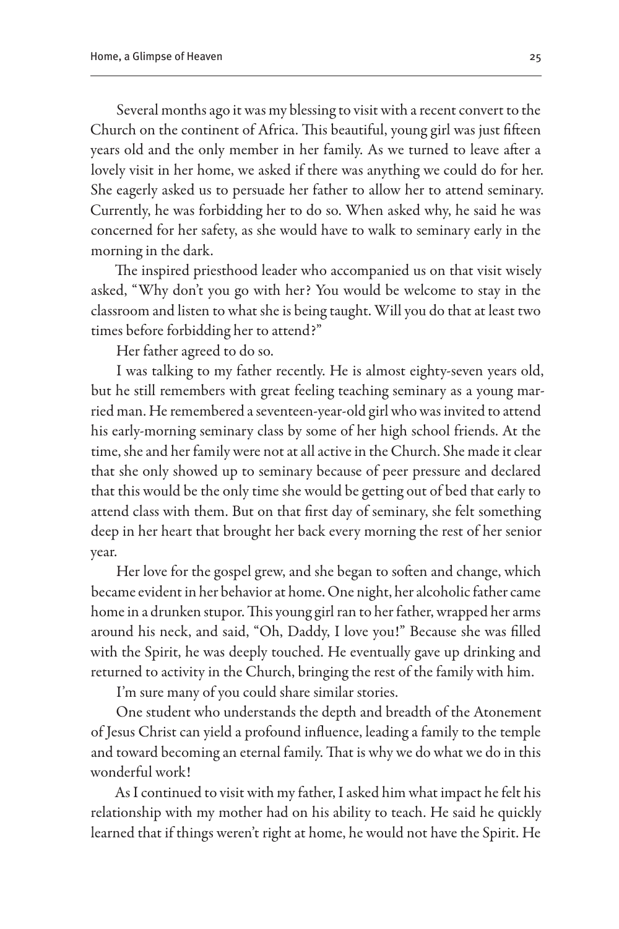Several months ago it was my blessing to visit with a recent convert to the Church on the continent of Africa. This beautiful, young girl was just fifteen years old and the only member in her family. As we turned to leave after a lovely visit in her home, we asked if there was anything we could do for her. She eagerly asked us to persuade her father to allow her to attend seminary. Currently, he was forbidding her to do so. When asked why, he said he was concerned for her safety, as she would have to walk to seminary early in the morning in the dark.

The inspired priesthood leader who accompanied us on that visit wisely asked, "Why don't you go with her? You would be welcome to stay in the classroom and listen to what she is being taught. Will you do that at least two times before forbidding her to attend?"

Her father agreed to do so.

I was talking to my father recently. He is almost eighty-seven years old, but he still remembers with great feeling teaching seminary as a young married man. He remembered a seventeen-year-old girl who was invited to attend his early-morning seminary class by some of her high school friends. At the time, she and her family were not at all active in the Church. She made it clear that she only showed up to seminary because of peer pressure and declared that this would be the only time she would be getting out of bed that early to attend class with them. But on that first day of seminary, she felt something deep in her heart that brought her back every morning the rest of her senior year.

Her love for the gospel grew, and she began to soften and change, which became evident in her behavior at home. One night, her alcoholic father came home in a drunken stupor. This young girl ran to her father, wrapped her arms around his neck, and said, "Oh, Daddy, I love you!" Because she was filled with the Spirit, he was deeply touched. He eventually gave up drinking and returned to activity in the Church, bringing the rest of the family with him.

I'm sure many of you could share similar stories.

One student who understands the depth and breadth of the Atonement of Jesus Christ can yield a profound influence, leading a family to the temple and toward becoming an eternal family. That is why we do what we do in this wonderful work!

As I continued to visit with my father, I asked him what impact he felt his relationship with my mother had on his ability to teach. He said he quickly learned that if things weren't right at home, he would not have the Spirit. He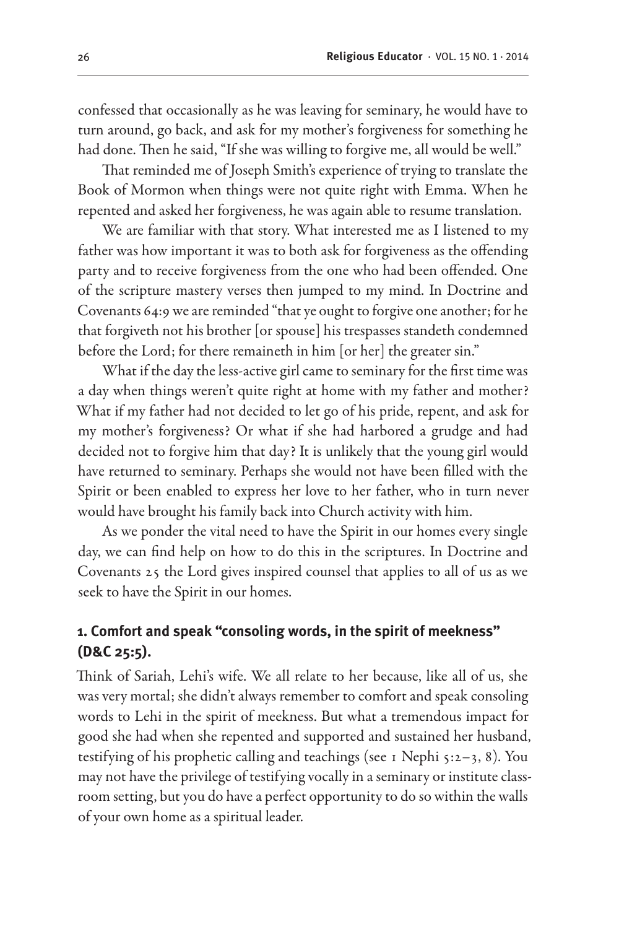confessed that occasionally as he was leaving for seminary, he would have to turn around, go back, and ask for my mother's forgiveness for something he had done. Then he said, "If she was willing to forgive me, all would be well."

That reminded me of Joseph Smith's experience of trying to translate the Book of Mormon when things were not quite right with Emma. When he repented and asked her forgiveness, he was again able to resume translation.

We are familiar with that story. What interested me as I listened to my father was how important it was to both ask for forgiveness as the offending party and to receive forgiveness from the one who had been offended. One of the scripture mastery verses then jumped to my mind. In Doctrine and Covenants 64:9 we are reminded "that ye ought to forgive one another; for he that forgiveth not his brother [or spouse] his trespasses standeth condemned before the Lord; for there remaineth in him [or her] the greater sin."

What if the day the less-active girl came to seminary for the first time was a day when things weren't quite right at home with my father and mother? What if my father had not decided to let go of his pride, repent, and ask for my mother's forgiveness? Or what if she had harbored a grudge and had decided not to forgive him that day? It is unlikely that the young girl would have returned to seminary. Perhaps she would not have been filled with the Spirit or been enabled to express her love to her father, who in turn never would have brought his family back into Church activity with him.

As we ponder the vital need to have the Spirit in our homes every single day, we can find help on how to do this in the scriptures. In Doctrine and Covenants 25 the Lord gives inspired counsel that applies to all of us as we seek to have the Spirit in our homes.

#### **1. Comfort and speak "consoling words, in the spirit of meekness" (D&C 25:5).**

Think of Sariah, Lehi's wife. We all relate to her because, like all of us, she was very mortal; she didn't always remember to comfort and speak consoling words to Lehi in the spirit of meekness. But what a tremendous impact for good she had when she repented and supported and sustained her husband, testifying of his prophetic calling and teachings (see 1 Nephi  $5:2-3$ , 8). You may not have the privilege of testifying vocally in a seminary or institute classroom setting, but you do have a perfect opportunity to do so within the walls of your own home as a spiritual leader.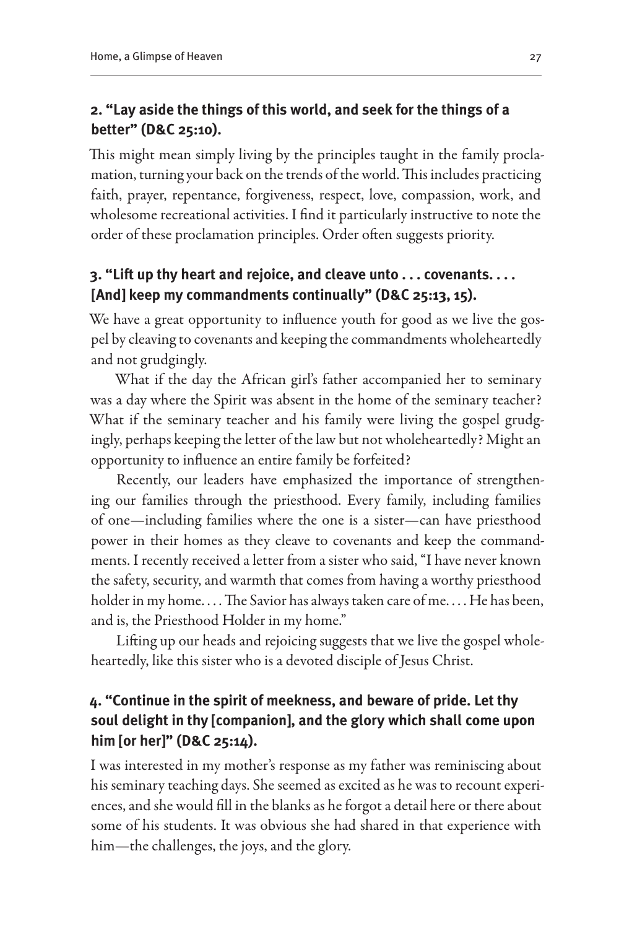#### **2. "Lay aside the things of this world, and seek for the things of a better" (D&C 25:10).**

This might mean simply living by the principles taught in the family proclamation, turning your back on the trends of the world. This includes practicing faith, prayer, repentance, forgiveness, respect, love, compassion, work, and wholesome recreational activities. I find it particularly instructive to note the order of these proclamation principles. Order often suggests priority.

#### **3. "Lift up thy heart and rejoice, and cleave unto . . . covenants. . . . [And] keep my commandments continually" (D&C 25:13, 15).**

We have a great opportunity to influence youth for good as we live the gospel by cleaving to covenants and keeping the commandments wholeheartedly and not grudgingly.

What if the day the African girl's father accompanied her to seminary was a day where the Spirit was absent in the home of the seminary teacher? What if the seminary teacher and his family were living the gospel grudgingly, perhaps keeping the letter of the law but not wholeheartedly? Might an opportunity to influence an entire family be forfeited?

Recently, our leaders have emphasized the importance of strengthening our families through the priesthood. Every family, including families of one—including families where the one is a sister—can have priesthood power in their homes as they cleave to covenants and keep the commandments. I recently received a letter from a sister who said, "I have never known the safety, security, and warmth that comes from having a worthy priesthood holder in my home.... The Savior has always taken care of me.... He has been, and is, the Priesthood Holder in my home."

Lifting up our heads and rejoicing suggests that we live the gospel wholeheartedly, like this sister who is a devoted disciple of Jesus Christ.

### **4. "Continue in the spirit of meekness, and beware of pride. Let thy soul delight in thy [companion], and the glory which shall come upon him [or her]" (D&C 25:14).**

I was interested in my mother's response as my father was reminiscing about his seminary teaching days. She seemed as excited as he was to recount experiences, and she would fill in the blanks as he forgot a detail here or there about some of his students. It was obvious she had shared in that experience with him—the challenges, the joys, and the glory.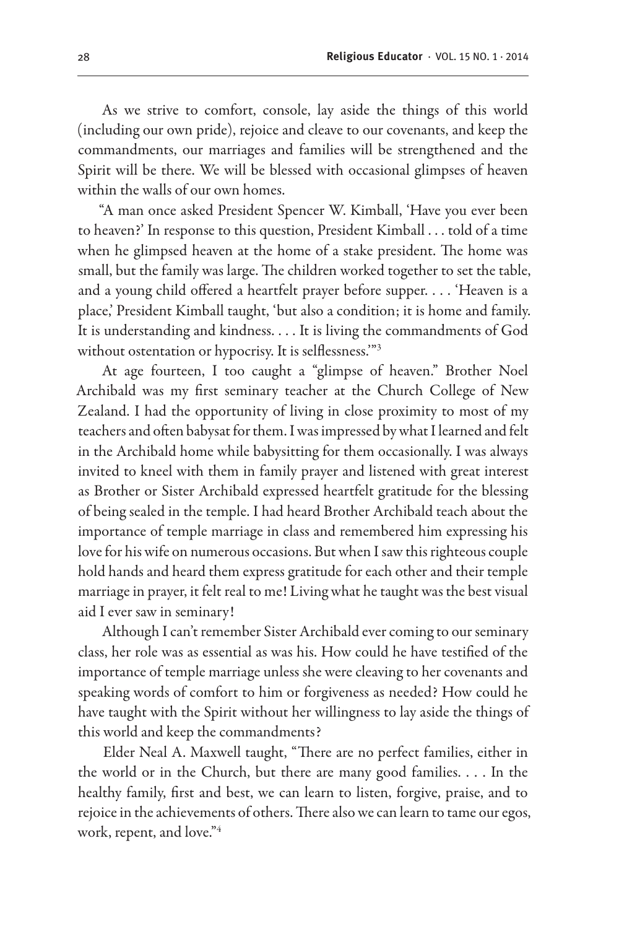As we strive to comfort, console, lay aside the things of this world (including our own pride), rejoice and cleave to our covenants, and keep the commandments, our marriages and families will be strengthened and the Spirit will be there. We will be blessed with occasional glimpses of heaven within the walls of our own homes.

"A man once asked President Spencer W. Kimball, 'Have you ever been to heaven?' In response to this question, President Kimball . . . told of a time when he glimpsed heaven at the home of a stake president. The home was small, but the family was large. The children worked together to set the table, and a young child offered a heartfelt prayer before supper. . . . 'Heaven is a place,' President Kimball taught, 'but also a condition; it is home and family. It is understanding and kindness. . . . It is living the commandments of God without ostentation or hypocrisy. It is selflessness.'"3

At age fourteen, I too caught a "glimpse of heaven." Brother Noel Archibald was my first seminary teacher at the Church College of New Zealand. I had the opportunity of living in close proximity to most of my teachers and often babysat for them. I was impressed by what I learned and felt in the Archibald home while babysitting for them occasionally. I was always invited to kneel with them in family prayer and listened with great interest as Brother or Sister Archibald expressed heartfelt gratitude for the blessing of being sealed in the temple. I had heard Brother Archibald teach about the importance of temple marriage in class and remembered him expressing his love for his wife on numerous occasions. But when I saw this righteous couple hold hands and heard them express gratitude for each other and their temple marriage in prayer, it felt real to me! Living what he taught was the best visual aid I ever saw in seminary!

Although I can't remember Sister Archibald ever coming to our seminary class, her role was as essential as was his. How could he have testified of the importance of temple marriage unless she were cleaving to her covenants and speaking words of comfort to him or forgiveness as needed? How could he have taught with the Spirit without her willingness to lay aside the things of this world and keep the commandments?

Elder Neal A. Maxwell taught, "There are no perfect families, either in the world or in the Church, but there are many good families.  $\dots$  In the healthy family, first and best, we can learn to listen, forgive, praise, and to rejoice in the achievements of others. There also we can learn to tame our egos, work, repent, and love."4